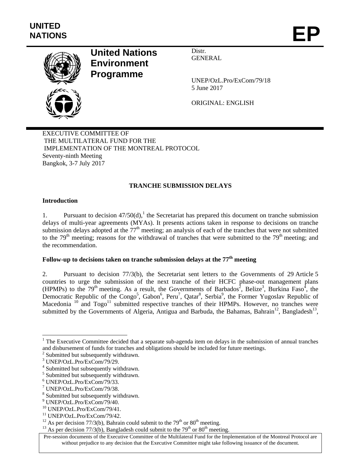

# **United Nations Environment Programme**

Distr. GENERAL

UNEP/OzL.Pro/ExCom/79/18 5 June 2017

ORIGINAL: ENGLISH

EXECUTIVE COMMITTEE OF THE MULTILATERAL FUND FOR THE IMPLEMENTATION OF THE MONTREAL PROTOCOL Seventy-ninth Meeting Bangkok, 3-7 July 2017

## **TRANCHE SUBMISSION DELAYS**

### **Introduction**

1. Pursuant to decision  $47/50(d)$ ,<sup>1</sup> the Secretariat has prepared this document on tranche submission delays of multi-year agreements (MYAs). It presents actions taken in response to decisions on tranche submission delays adopted at the  $77<sup>th</sup>$  meeting; an analysis of each of the tranches that were not submitted to the  $79<sup>th</sup>$  meeting; reasons for the withdrawal of tranches that were submitted to the  $79<sup>th</sup>$  meeting; and the recommendation.

# Follow-up to decisions taken on tranche submission delays at the 77<sup>th</sup> meeting

2. Pursuant to decision 77/3(b), the Secretariat sent letters to the Governments of 29 Article 5 countries to urge the submission of the next tranche of their HCFC phase-out management plans (HPMPs) to the 79<sup>th</sup> meeting. As a result, the Governments of Barbados<sup>2</sup>, Belize<sup>3</sup>, Burkina Faso<sup>4</sup>, the Democratic Republic of the  $\text{Congo}^5$ , Gabon<sup>6</sup>, Peru<sup>7</sup>, Qatar<sup>8</sup>, Serbia<sup>9</sup>, the Former Yugoslav Republic of Macedonia  $10$  and  $Togo<sup>11</sup>$  submitted respective tranches of their HPMPs. However, no tranches were submitted by the Governments of Algeria, Antigua and Barbuda, the Bahamas, Bahrain<sup>12</sup>, Bangladesh<sup>13</sup>,

l

 $<sup>1</sup>$  The Executive Committee decided that a separate sub-agenda item on delays in the submission of annual tranches</sup> and disbursement of funds for tranches and obligations should be included for future meetings.

<sup>&</sup>lt;sup>2</sup> Submitted but subsequently withdrawn.

<sup>3</sup> UNEP/OzL.Pro/ExCom/79/29.

<sup>&</sup>lt;sup>4</sup> Submitted but subsequently withdrawn.

<sup>&</sup>lt;sup>5</sup> Submitted but subsequently withdrawn.

<sup>6</sup> UNEP/OzL.Pro/ExCom/79/33.

<sup>7</sup> UNEP/OzL.Pro/ExCom/79/38.

<sup>&</sup>lt;sup>8</sup> Submitted but subsequently withdrawn.

<sup>9</sup> UNEP/OzL.Pro/ExCom/79/40.

<sup>10</sup> UNEP/OzL.Pro/ExCom/79/41.

<sup>&</sup>lt;sup>11</sup> UNEP/OzL.Pro/ExCom/79/42.<br><sup>12</sup> As per decision 77/3(b), Bahrain could submit to the 79<sup>th</sup> or 80<sup>th</sup> meeting.

<sup>&</sup>lt;sup>13</sup> As per decision 77/3(b), Bangladesh could submit to the 79<sup>th</sup> or 80<sup>th</sup> meeting.

Pre-session documents of the Executive Committee of the Multilateral Fund for the Implementation of the Montreal Protocol are without prejudice to any decision that the Executive Committee might take following issuance of the document.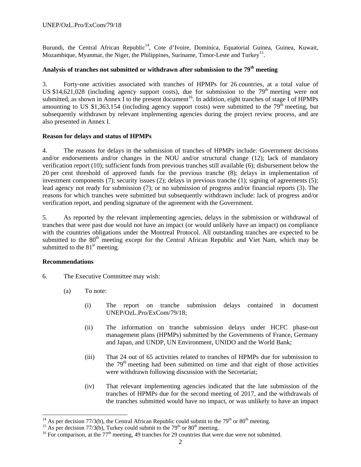Burundi, the Central African Republic<sup>14</sup>, Cote d'Ivoire, Dominica, Equatorial Guinea, Guinea, Kuwait, Mozambique, Myanmar, the Niger, the Philippines, Suriname, Timor-Leste and Turkey<sup>15</sup>.

## **Analysis of tranches not submitted or withdrawn after submission to the 79th meeting**

3. Forty-one activities associated with tranches of HPMPs for 26 countries, at a total value of US \$14,621,028 (including agency support costs), due for submission to the  $79<sup>th</sup>$  meeting were not submitted, as shown in Annex I to the present document<sup>16</sup>. In addition, eight tranches of stage I of HPMPs amounting to US \$1,363,154 (including agency support costs) were submitted to the  $79<sup>th</sup>$  meeting, but subsequently withdrawn by relevant implementing agencies during the project review process, and are also presented in Annex I.

#### **Reason for delays and status of HPMPs**

4. The reasons for delays in the submission of tranches of HPMPs include: Government decisions and/or endorsements and/or changes in the NOU and/or structural change (12); lack of mandatory verification report (10); sufficient funds from previous tranches still available (6); disbursement below the 20 per cent threshold of approved funds for the previous tranche (8); delays in implementation of investment components (7); security issues (2); delays in previous tranche (1); signing of agreements (5); lead agency not ready for submission (7); or no submission of progress and/or financial reports (3). The reasons for which tranches were submitted but subsequently withdrawn include: lack of progress and/or verification report, and pending signature of the agreement with the Government.

5. As reported by the relevant implementing agencies, delays in the submission or withdrawal of tranches that were past due would not have an impact (or would unlikely have an impact) on compliance with the countries obligations under the Montreal Protocol. All outstanding tranches are expected to be submitted to the 80<sup>th</sup> meeting except for the Central African Republic and Viet Nam, which may be submitted to the  $81<sup>st</sup>$  meeting.

#### **Recommendations**

 $\overline{a}$ 

- 6. The Executive Committee may wish:
	- (a) To note:
		- (i) The report on tranche submission delays contained in document UNEP/OzL.Pro/ExCom/79/18;
		- (ii) The information on tranche submission delays under HCFC phase-out management plans (HPMPs) submitted by the Governments of France, Germany and Japan, and UNDP, UN Environment, UNIDO and the World Bank;
		- (iii) That 24 out of 65 activities related to tranches of HPMPs due for submission to the  $79<sup>th</sup>$  meeting had been submitted on time and that eight of those activities were withdrawn following discussion with the Secretariat;
		- (iv) That relevant implementing agencies indicated that the late submission of the tranches of HPMPs due for the second meeting of 2017, and the withdrawals of the tranches submitted would have no impact, or was unlikely to have an impact

<sup>&</sup>lt;sup>14</sup> As per decision 77/3(b), the Central African Republic could submit to the 79<sup>th</sup> or 80<sup>th</sup> meeting.<br><sup>15</sup> As per decision 77/3(b), Turkey could submit to the 79<sup>th</sup> or 80<sup>th</sup> meeting.<br><sup>16</sup> For comparison, at the 77<sup>th</sup>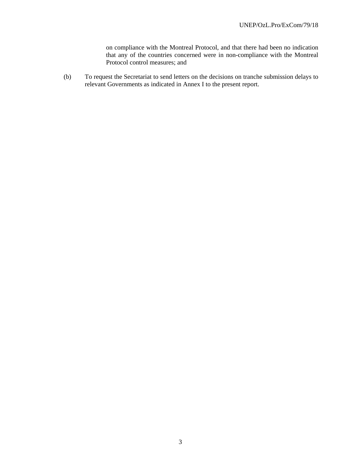on compliance with the Montreal Protocol, and that there had been no indication that any of the countries concerned were in non-compliance with the Montreal Protocol control measures; and

(b) To request the Secretariat to send letters on the decisions on tranche submission delays to relevant Governments as indicated in Annex I to the present report.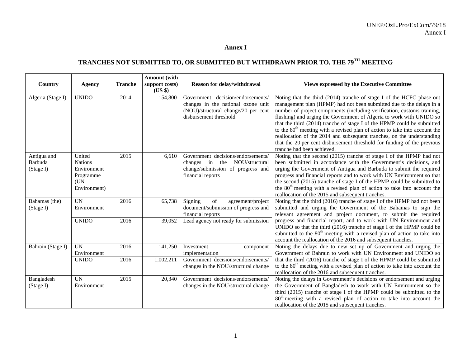#### **Annex I**

# **TRANCHES NOT SUBMITTED TO, OR SUBMITTED BUT WITHDRAWN PRIOR TO, THE 79TH MEETING**

|                                     |                                                                              |                | <b>Amount</b> (with       |                                                                                                                                          |                                                                                                                                                                                                                                                                                                                                                                                                                                                                                                                                                                                                                                                |
|-------------------------------------|------------------------------------------------------------------------------|----------------|---------------------------|------------------------------------------------------------------------------------------------------------------------------------------|------------------------------------------------------------------------------------------------------------------------------------------------------------------------------------------------------------------------------------------------------------------------------------------------------------------------------------------------------------------------------------------------------------------------------------------------------------------------------------------------------------------------------------------------------------------------------------------------------------------------------------------------|
| Country                             | <b>Agency</b>                                                                | <b>Tranche</b> | support costs)<br>(US \$) | Reason for delay/withdrawal                                                                                                              | <b>Views expressed by the Executive Committee</b>                                                                                                                                                                                                                                                                                                                                                                                                                                                                                                                                                                                              |
| Algeria (Stage I)                   | <b>UNIDO</b>                                                                 | 2014           | 154,800                   | Government decision/endorsements/<br>changes in the national ozone unit<br>(NOU)/structural change/20 per cent<br>disbursement threshold | Noting that the third (2014) tranche of stage I of the HCFC phase-out<br>management plan (HPMP) had not been submitted due to the delays in a<br>number of project components (including verification, customs training,<br>flushing) and urging the Government of Algeria to work with UNIDO so<br>that the third (2014) tranche of stage I of the HPMP could be submitted<br>to the $80th$ meeting with a revised plan of action to take into account the<br>reallocation of the 2014 and subsequent tranches, on the understanding<br>that the 20 per cent disbursement threshold for funding of the previous<br>tranche had been achieved. |
| Antigua and<br>Barbuda<br>(Stage I) | United<br><b>Nations</b><br>Environment<br>Programme<br>(UN)<br>Environment) | 2015           | 6,610                     | Government decisions/endorsements/<br>changes in the<br>NOU/structural<br>change/submission of progress and<br>financial reports         | Noting that the second (2015) tranche of stage I of the HPMP had not<br>been submitted in accordance with the Government's decisions, and<br>urging the Government of Antigua and Barbuda to submit the required<br>progress and financial reports and to work with UN Environment so that<br>the second (2015) tranche of stage I of the HPMP could be submitted to<br>the 80 <sup>th</sup> meeting with a revised plan of action to take into account the<br>reallocation of the 2015 and subsequent tranches.                                                                                                                               |
| Bahamas (the)<br>(Stage I)          | <b>UN</b><br>Environment                                                     | 2016           | 65,738                    | Signing<br>of<br>agreement/project<br>document/submission of progress and<br>financial reports                                           | Noting that the third (2016) tranche of stage I of the HPMP had not been<br>submitted and urging the Government of the Bahamas to sign the<br>relevant agreement and project document, to submit the required                                                                                                                                                                                                                                                                                                                                                                                                                                  |
|                                     | <b>UNIDO</b>                                                                 | 2016           | 39,052                    | Lead agency not ready for submission                                                                                                     | progress and financial report, and to work with UN Environment and<br>UNIDO so that the third (2016) tranche of stage I of the HPMP could be<br>submitted to the 80 <sup>th</sup> meeting with a revised plan of action to take into<br>account the reallocation of the 2016 and subsequent tranches.                                                                                                                                                                                                                                                                                                                                          |
| Bahrain (Stage I)                   | <b>UN</b><br>Environment                                                     | 2016           | 141,250                   | Investment<br>component<br>implementation                                                                                                | Noting the delays due to new set up of Government and urging the<br>Government of Bahrain to work with UN Environment and UNIDO so                                                                                                                                                                                                                                                                                                                                                                                                                                                                                                             |
|                                     | <b>UNIDO</b>                                                                 | 2016           | 1,002,211                 | Government decisions/endorsements/<br>changes in the NOU/structural change                                                               | that the third (2016) tranche of stage I of the HPMP could be submitted<br>to the 80 <sup>th</sup> meeting with a revised plan of action to take into account the<br>reallocation of the 2016 and subsequent tranches.                                                                                                                                                                                                                                                                                                                                                                                                                         |
| Bangladesh<br>(Stage I)             | <b>UN</b><br>Environment                                                     | 2015           | 20,340                    | Government decisions/endorsements/<br>changes in the NOU/structural change                                                               | Noting the delays in Government's decisions or endorsement and urging<br>the Government of Bangladesh to work with UN Environment so the<br>third (2015) tranche of stage I of the HPMP could be submitted to the<br>80 <sup>th</sup> meeting with a revised plan of action to take into account the<br>reallocation of the 2015 and subsequent tranches.                                                                                                                                                                                                                                                                                      |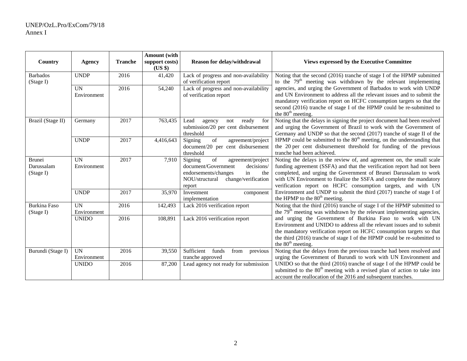|                                          |                          |                | <b>Amount</b> (with       |                                                                                                                                                                                                                          |                                                                                                                                                                                                                                                                                                                                                             |
|------------------------------------------|--------------------------|----------------|---------------------------|--------------------------------------------------------------------------------------------------------------------------------------------------------------------------------------------------------------------------|-------------------------------------------------------------------------------------------------------------------------------------------------------------------------------------------------------------------------------------------------------------------------------------------------------------------------------------------------------------|
| Country                                  | <b>Agency</b>            | <b>Tranche</b> | support costs)<br>(US \$) | <b>Reason for delay/withdrawal</b>                                                                                                                                                                                       | <b>Views expressed by the Executive Committee</b>                                                                                                                                                                                                                                                                                                           |
| <b>Barbados</b><br>(Stage I)             | <b>UNDP</b>              | 2016           | 41,420                    | Lack of progress and non-availability<br>of verification report                                                                                                                                                          | Noting that the second (2016) tranche of stage I of the HPMP submitted<br>to the $79th$ meeting was withdrawn by the relevant implementing                                                                                                                                                                                                                  |
|                                          | <b>UN</b><br>Environment | 2016           | 54,240                    | Lack of progress and non-availability<br>of verification report                                                                                                                                                          | agencies, and urging the Government of Barbados to work with UNDP<br>and UN Environment to address all the relevant issues and to submit the<br>mandatory verification report on HCFC consumption targets so that the<br>second (2016) tranche of stage I of the HPMP could be re-submitted to<br>the $80th$ meeting.                                       |
| Brazil (Stage II)                        | Germany                  | 2017           | 763,435                   | ready<br>for<br>Lead<br>not<br>agency<br>submission/20 per cent disbursement<br>threshold                                                                                                                                | Noting that the delays in signing the project document had been resolved<br>and urging the Government of Brazil to work with the Government of<br>Germany and UNDP so that the second (2017) tranche of stage II of the                                                                                                                                     |
|                                          | <b>UNDP</b>              | 2017           | 4,416,643                 | of<br>Signing<br>agreement/project<br>document/20 per cent disbursement<br>threshold                                                                                                                                     | HPMP could be submitted to the $80th$ meeting, on the understanding that<br>the 20 per cent disbursement threshold for funding of the previous<br>tranche had been achieved.                                                                                                                                                                                |
| <b>Brunei</b><br>Darussalam<br>(Stage I) | UN<br>Environment        | 2017           | 7,910                     | $% \left( \left( \mathcal{A},\mathcal{A}\right) \right)$ of<br>Signing<br>agreement/project<br>document/Government<br>decisions/<br>in<br>endorsements/changes<br>the<br>NOU/structural<br>change/verification<br>report | Noting the delays in the review of, and agreement on, the small scale<br>funding agreement (SSFA) and that the verification report had not been<br>completed, and urging the Government of Brunei Darussalam to work<br>with UN Environment to finalize the SSFA and complete the mandatory<br>verification report on HCFC consumption targets, and with UN |
|                                          | <b>UNDP</b>              | 2017           | 35,970                    | Investment<br>component<br>implementation                                                                                                                                                                                | Environment and UNDP to submit the third (2017) tranche of stage I of<br>the HPMP to the $80th$ meeting.                                                                                                                                                                                                                                                    |
| <b>Burkina Faso</b><br>(Stage I)         | UN<br>Environment        | 2016           | 142,493                   | Lack 2016 verification report                                                                                                                                                                                            | Noting that the third (2016) tranche of stage I of the HPMP submitted to<br>the $79th$ meeting was withdrawn by the relevant implementing agencies,                                                                                                                                                                                                         |
|                                          | <b>UNIDO</b>             | 2016           | 108,891                   | Lack 2016 verification report                                                                                                                                                                                            | and urging the Government of Burkina Faso to work with UN<br>Environment and UNIDO to address all the relevant issues and to submit<br>the mandatory verification report on HCFC consumption targets so that<br>the third (2016) tranche of stage I of the HPMP could be re-submitted to<br>the $80^{\text{th}}$ meeting.                                   |
| Burundi (Stage I)                        | <b>UN</b><br>Environment | 2016           | 39,550                    | Sufficient<br>funds<br>from<br>previous<br>tranche approved                                                                                                                                                              | Noting that the delays from the previous tranche had been resolved and<br>urging the Government of Burundi to work with UN Environment and                                                                                                                                                                                                                  |
|                                          | <b>UNIDO</b>             | 2016           | 87,200                    | Lead agency not ready for submission                                                                                                                                                                                     | UNIDO so that the third (2016) tranche of stage I of the HPMP could be<br>submitted to the $80th$ meeting with a revised plan of action to take into<br>account the reallocation of the 2016 and subsequent tranches.                                                                                                                                       |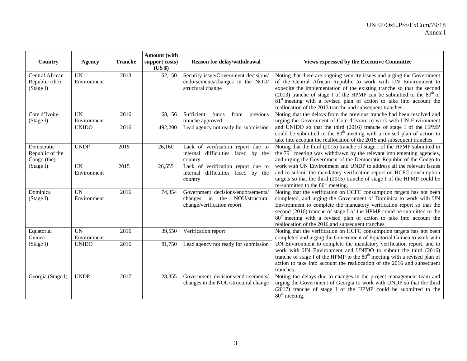|                                                |                          |                | Amount (with              |                                                                                                   |                                                                                                                                                                                                                                                                                                                                                                                                                                                |
|------------------------------------------------|--------------------------|----------------|---------------------------|---------------------------------------------------------------------------------------------------|------------------------------------------------------------------------------------------------------------------------------------------------------------------------------------------------------------------------------------------------------------------------------------------------------------------------------------------------------------------------------------------------------------------------------------------------|
| Country                                        | Agency                   | <b>Tranche</b> | support costs)<br>(US \$) | <b>Reason for delay/withdrawal</b>                                                                | <b>Views expressed by the Executive Committee</b>                                                                                                                                                                                                                                                                                                                                                                                              |
| Central African<br>Republic (the)<br>(Stage I) | <b>UN</b><br>Environment | 2013           | 62,150                    | Security issue/Government decisions/<br>endorsements/changes in the NOU/<br>structural change     | Noting that there are ongoing security issues and urging the Government<br>of the Central African Republic to work with UN Environment to<br>expedite the implementation of the existing tranche so that the second<br>(2013) tranche of stage I of the HPMP can be submitted to the $80th$ or<br>81 <sup>st</sup> meeting with a revised plan of action to take into account the<br>reallocation of the 2013 tranche and subsequent tranches. |
| Cote d'Ivoire<br>(Stage I)                     | <b>UN</b><br>Environment | 2016           | 168,156                   | Sufficient<br>funds<br>from<br>previous<br>tranche approved                                       | Noting that the delays from the previous tranche had been resolved and<br>urging the Government of Cote d'Ivoire to work with UN Environment                                                                                                                                                                                                                                                                                                   |
|                                                | <b>UNIDO</b>             | 2016           | 492,200                   | Lead agency not ready for submission                                                              | and UNIDO so that the third (2016) tranche of stage I of the HPMP<br>could be submitted to the 80 <sup>th</sup> meeting with a revised plan of action to<br>take into account the reallocation of the 2016 and subsequent tranches.                                                                                                                                                                                                            |
| Democratic<br>Republic of the<br>Congo (the)   | <b>UNDP</b>              | 2015           | 26,160                    | Lack of verification report due to<br>internal difficulties faced by the<br>country               | Noting that the third (2015) tranche of stage I of the HPMP submitted to<br>the $79th$ meeting was withdrawn by the relevant implementing agencies,<br>and urging the Government of the Democratic Republic of the Congo to                                                                                                                                                                                                                    |
| (Stage I)                                      | <b>UN</b><br>Environment | 2015           | 26,555                    | Lack of verification report due to<br>internal difficulties faced by the<br>country               | work with UN Environment and UNDP to address all the relevant issues<br>and to submit the mandatory verification report on HCFC consumption<br>targets so that the third (2015) tranche of stage I of the HPMP could be<br>re-submitted to the 80 <sup>th</sup> meeting.                                                                                                                                                                       |
| Dominica<br>(Stage I)                          | <b>UN</b><br>Environment | 2016           | 74,354                    | Government decisions/endorsements/<br>changes in the NOU/structural<br>change/verification report | Noting that the verification on HCFC consumption targets has not been<br>completed, and urging the Government of Dominica to work with UN<br>Environment to complete the mandatory verification report so that the<br>second (2016) tranche of stage I of the HPMP could be submitted to the<br>80 <sup>th</sup> meeting with a revised plan of action to take into account the<br>reallocation of the 2016 and subsequent tranches.           |
| Equatorial<br>Guinea                           | <b>UN</b><br>Environment | 2016           | 39,550                    | Verification report                                                                               | Noting that the verification on HCFC consumption targets has not been<br>completed and urging the Government of Equatorial Guinea to work with                                                                                                                                                                                                                                                                                                 |
| (Stage I)                                      | <b>UNIDO</b>             | 2016           | 81,750                    | Lead agency not ready for submission                                                              | UN Environment to complete the mandatory verification report, and to<br>work with UN Environment and UNIDO to submit the third (2016)<br>tranche of stage I of the HPMP to the $80th$ meeting with a revised plan of<br>action to take into account the reallocation of the 2016 and subsequent<br>tranches.                                                                                                                                   |
| Georgia (Stage I)                              | <b>UNDP</b>              | 2017           | 128,355                   | Government decisions/endorsements/<br>changes in the NOU/structural change                        | Noting the delays due to changes in the project management team and<br>urging the Government of Georgia to work with UNDP so that the third<br>(2017) tranche of stage I of the HPMP could be submitted to the<br>80 <sup>th</sup> meeting.                                                                                                                                                                                                    |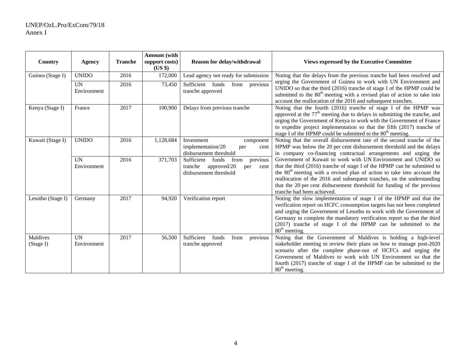|                       |                          |                | <b>Amount</b> (with       |                                                                                                         |                                                                                                                                                                                                                                                                                                                                                                                                                     |
|-----------------------|--------------------------|----------------|---------------------------|---------------------------------------------------------------------------------------------------------|---------------------------------------------------------------------------------------------------------------------------------------------------------------------------------------------------------------------------------------------------------------------------------------------------------------------------------------------------------------------------------------------------------------------|
| Country               | Agency                   | <b>Tranche</b> | support costs)<br>$(US \$ | Reason for delay/withdrawal                                                                             | <b>Views expressed by the Executive Committee</b>                                                                                                                                                                                                                                                                                                                                                                   |
| Guinea (Stage I)      | <b>UNIDO</b>             | 2016           | 172,000                   | Lead agency not ready for submission                                                                    | Noting that the delays from the previous tranche had been resolved and                                                                                                                                                                                                                                                                                                                                              |
|                       | UN<br>Environment        | 2016           | 73,450                    | Sufficient funds<br>from<br>previous<br>tranche approved                                                | urging the Government of Guinea to work with UN Environment and<br>UNIDO so that the third (2016) tranche of stage I of the HPMP could be<br>submitted to the 80 <sup>th</sup> meeting with a revised plan of action to take into<br>account the reallocation of the 2016 and subsequent tranches.                                                                                                                  |
| Kenya (Stage I)       | France                   | 2017           | 100,900                   | Delays from previous tranche                                                                            | Noting that the fourth (2016) tranche of stage I of the HPMP was<br>approved at the $77th$ meeting due to delays in submitting the tranche, and<br>urging the Government of Kenya to work with the Government of France<br>to expedite project implementation so that the fifth (2017) tranche of<br>stage I of the HPMP could be submitted to the 80 <sup>th</sup> meeting.                                        |
| Kuwait (Stage I)      | <b>UNIDO</b>             | 2016           | 1,128,684                 | Investment<br>component<br>implementation/20<br>per<br>cent<br>disbursement threshold                   | Noting that the overall disbursement rate of the second tranche of the<br>HPMP was below the 20 per cent disbursement threshold and the delays<br>in company co-financing contractual arrangements and urging the                                                                                                                                                                                                   |
|                       | <b>UN</b><br>Environment | 2016           | 371,703                   | Sufficient funds<br>from<br>previous<br>approved/20<br>tranche<br>per<br>cent<br>disbursement threshold | Government of Kuwait to work with UN Environment and UNIDO so<br>that the third (2016) tranche of stage I of the HPMP can be submitted to<br>the 80 <sup>th</sup> meeting with a revised plan of action to take into account the<br>reallocation of the 2016 and subsequent tranches, on the understanding<br>that the 20 per cent disbursement threshold for funding of the previous<br>tranche had been achieved. |
| Lesotho (Stage I)     | Germany                  | 2017           | 94,920                    | Verification report                                                                                     | Noting the slow implementation of stage I of the HPMP and that the<br>verification report on HCFC consumption targets has not been completed<br>and urging the Government of Lesotho to work with the Government of<br>Germany to complete the mandatory verification report so that the third<br>(2017) tranche of stage I of the HPMP can be submitted to the<br>$80th$ meeting.                                  |
| Maldives<br>(Stage I) | <b>UN</b><br>Environment | 2017           | 56,500                    | Sufficient funds<br>from<br>previous<br>tranche approved                                                | Noting that the Government of Maldives is holding a high-level<br>stakeholder meeting to review their plans on how to manage post-2020<br>scenario after the complete phase-out of HCFCs and urging the<br>Government of Maldives to work with UN Environment so that the<br>fourth (2017) tranche of stage I of the HPMP can be submitted to the<br>80 <sup>th</sup> meeting.                                      |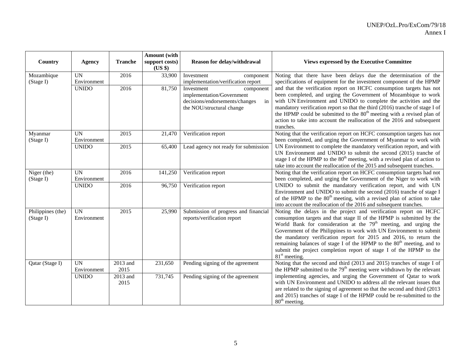|                                |                           |                               | <b>Amount</b> (with       |                                                                                                                           |                                                                                                                                                                                                                                                                                                                                                                                                                                                                                                                                                      |
|--------------------------------|---------------------------|-------------------------------|---------------------------|---------------------------------------------------------------------------------------------------------------------------|------------------------------------------------------------------------------------------------------------------------------------------------------------------------------------------------------------------------------------------------------------------------------------------------------------------------------------------------------------------------------------------------------------------------------------------------------------------------------------------------------------------------------------------------------|
| Country                        | Agency                    | <b>Tranche</b>                | support costs)<br>(US \$) | Reason for delay/withdrawal                                                                                               | <b>Views expressed by the Executive Committee</b>                                                                                                                                                                                                                                                                                                                                                                                                                                                                                                    |
| Mozambique                     | <b>UN</b>                 | 2016                          | 33,900                    | Investment<br>component                                                                                                   | Noting that there have been delays due the determination of the                                                                                                                                                                                                                                                                                                                                                                                                                                                                                      |
| (Stage I)                      | Environment               |                               |                           | implementation/verification report                                                                                        | specifications of equipment for the investment component of the HPMP                                                                                                                                                                                                                                                                                                                                                                                                                                                                                 |
|                                | <b>UNIDO</b>              | 2016                          | 81,750                    | Investment<br>component<br>implementation/Government<br>decisions/endorsements/changes<br>in<br>the NOU/structural change | and that the verification report on HCFC consumption targets has not<br>been completed, and urging the Government of Mozambique to work<br>with UN Environment and UNIDO to complete the activities and the<br>mandatory verification report so that the third (2016) tranche of stage I of<br>the HPMP could be submitted to the 80 <sup>th</sup> meeting with a revised plan of<br>action to take into account the reallocation of the 2016 and subsequent<br>tranches.                                                                            |
| Myanmar                        | UN                        | 2015                          | 21,470                    | Verification report                                                                                                       | Noting that the verification report on HCFC consumption targets has not                                                                                                                                                                                                                                                                                                                                                                                                                                                                              |
| (Stage I)                      | Environment               |                               |                           |                                                                                                                           | been completed, and urging the Government of Myanmar to work with                                                                                                                                                                                                                                                                                                                                                                                                                                                                                    |
|                                | <b>UNIDO</b>              | 2015                          | 65,400                    | Lead agency not ready for submission                                                                                      | UN Environment to complete the mandatory verification report, and with<br>UN Environment and UNIDO to submit the second (2015) tranche of<br>stage I of the HPMP to the 80 <sup>th</sup> meeting, with a revised plan of action to<br>take into account the reallocation of the 2015 and subsequent tranches.                                                                                                                                                                                                                                        |
| Niger (the)<br>(Stage I)       | <b>UN</b><br>Environment  | 2016                          | 141,250                   | Verification report                                                                                                       | Noting that the verification report on HCFC consumption targets had not<br>been completed, and urging the Government of the Niger to work with                                                                                                                                                                                                                                                                                                                                                                                                       |
|                                | <b>UNIDO</b>              | 2016                          | 96,750                    | Verification report                                                                                                       | UNIDO to submit the mandatory verification report, and with UN<br>Environment and UNIDO to submit the second (2016) tranche of stage I<br>of the HPMP to the $80th$ meeting, with a revised plan of action to take<br>into account the reallocation of the 2016 and subsequent tranches.                                                                                                                                                                                                                                                             |
| Philippines (the)<br>(Stage I) | <b>UN</b><br>Environment  | 2015                          | 25,990                    | Submission of progress and financial<br>reports/verification report                                                       | Noting the delays in the project and verification report on HCFC<br>consumption targets and that stage II of the HPMP is submitted by the<br>World Bank for consideration at the 79 <sup>th</sup> meeting, and urging the<br>Government of the Philippines to work with UN Environment to submit<br>the mandatory verification report for 2015 and 2016, to return the<br>remaining balances of stage I of the HPMP to the 80 <sup>th</sup> meeting, and to<br>submit the project completion report of stage I of the HPMP to the<br>$81st$ meeting. |
| Qatar (Stage I)                | <b>IIN</b><br>Environment | $\overline{2013}$ and<br>2015 | 231,650                   | Pending signing of the agreement                                                                                          | Noting that the second and third (2013 and 2015) tranches of stage I of<br>the HPMP submitted to the 79 <sup>th</sup> meeting were withdrawn by the relevant                                                                                                                                                                                                                                                                                                                                                                                         |
|                                | <b>UNIDO</b>              | 2013 and<br>2015              | 731,745                   | Pending signing of the agreement                                                                                          | implementing agencies, and urging the Government of Qatar to work<br>with UN Environment and UNIDO to address all the relevant issues that<br>are related to the signing of agreement so that the second and third (2013<br>and 2015) tranches of stage I of the HPMP could be re-submitted to the<br>80 <sup>th</sup> meeting.                                                                                                                                                                                                                      |